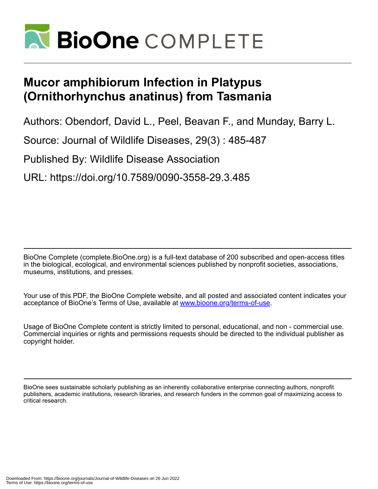

## **Mucor amphibiorum Infection in Platypus (Ornithorhynchus anatinus) from Tasmania**

Authors: Obendorf, David L., Peel, Beavan F., and Munday, Barry L.

Source: Journal of Wildlife Diseases, 29(3) : 485-487

Published By: Wildlife Disease Association

URL: https://doi.org/10.7589/0090-3558-29.3.485

BioOne Complete (complete.BioOne.org) is a full-text database of 200 subscribed and open-access titles in the biological, ecological, and environmental sciences published by nonprofit societies, associations, museums, institutions, and presses.

Your use of this PDF, the BioOne Complete website, and all posted and associated content indicates your acceptance of BioOne's Terms of Use, available at www.bioone.org/terms-of-use.

Usage of BioOne Complete content is strictly limited to personal, educational, and non - commercial use. Commercial inquiries or rights and permissions requests should be directed to the individual publisher as copyright holder.

BioOne sees sustainable scholarly publishing as an inherently collaborative enterprise connecting authors, nonprofit publishers, academic institutions, research libraries, and research funders in the common goal of maximizing access to critical research.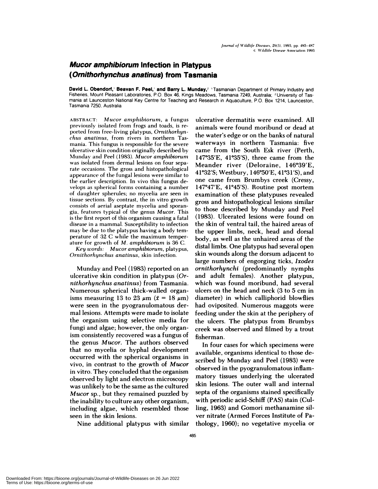## **Mucor amphibiorum Infection in Platypus (Omithorhynchus anatinus) from Tasmania**

**David L. Obendorf, Beavan F. Peel, and Barry L Munday,2** 'Tasmanian Department of Primary Industry and Fisheries, Mount Pleasant Laboratories, P.O. Box 46, Kings Meadows, Tasmania 7249, Australia; <sup>2</sup> University of Tasmania at Launceston National Key Centre for Teaching and Research in Aquaculture, P.O. Box 1214, Launceston, Tasmania 7250, Australia

**ABSTRACT:** *Mucor amphibiorum,* a fungus previously isolated from frogs and toads, is re **ported from free-living platypus,** *Ornithorhyn c/ins anatinus,* **from rivers in northern** Tas **mania.** This **fungus is** responsible for the severe **ulcerative** skin **condition** originally described by Munday and Peel (1983). *Mucor amphibiorurn* was isolated from dermal lesions on four separate occasions. The gross and histopathological appearance of the fungal lesions were similar to the **earlier description.** In vivo this fungus develops as spherical forms containing a number of daughter spherules; no mycelia are seen in tissue sections. By contrast, the in vitro growth consists of aerial aseptate mycelia and sporangia, features typical of the genus *Mucor.* This **is** the first report of this **organism causing a** fatal disease in a mammal. Susceptibility to infection may be due to the **platypus having <sup>a</sup>** body tem perature of 32 C while the maximum temper **ature for growth of** *M. amphibiorum* is 36 C.

*Key words: Mucor arnphibiorum,* platypus, *Ornithorhynchus anatinus,* skin infection.

Munday and Peel (1983) reported on an ulcerative skin condition in platypus *(Ornit horhynchus anatinus)* from Tasmania. Numerous spherical thick-walled organisms measuring 13 to 23  $\mu$ m ( $\bar{x}$  = 18  $\mu$ m) were seen in the pyogranulomatous denmal lesions. Attempts were made to isolate the organism using selective media for fungi and algae; however, the only organism consistently recovered was a fungus of the genus *Mucor.* The authors observed that no mycelia or hyphal development occurred with the spherical organisms in vivo, in contrast to the growth of *Mucor* in vitro. They concluded that the organism observed by light and electron microscopy was unlikely to be the same as the cultured *Mucor* sp., but they remained puzzled by the inability to culture any other organism, including algae, which resembled those seen in the skin lesions.

Nine additional platypus with similar

ulcerative dermatitis were examined. All animals were found moribund or dead at the water's edge or on the banks of natural waterways in northern Tasmania: five came from the South Esk river (Perth,  $147^{\circ}35'E$ ,  $41^{\circ}35'S$ ), three came from the Meander river (Deloraine, 146°39'E, 41°32'S; Westbury, 146°50'E, 41°31'S), and one came from Brumbys creek (Cressy,  $147°47'E$ ,  $41°45'S$ ). Routine post mortem examination of these platypuses revealed gross and histopathological lesions similar to those described by Munday and Peel (1983). Ulcerated lesions were found on the skin of ventral tail, the haired areas of the upper limbs, neck, head and dorsal body, as well as the unhaired areas of the distal limbs. One platypus had several open skin wounds along the dorsum adjacent to large numbers of engorging ticks, *Ixodes ornithorhynchi* (predominantly nymphs and adult females). Another platypus, which was found moribund, had several ulcers on the head and neck (3 to 5 cm in diameter) in which calliphonid blowflies had oviposited. Numerous maggots were feeding under the skin at the periphery of the ulcers. The platypus from Brumbys creek was observed and filmed by a trout fisherman.

In four cases for which specimens were available, organisms identical to those described by Munday and Peel (1983) were observed in the pyogranulomatous inflammatory tissues underlying the ulcerated skin lesions. The outer wall and internal septa of the organisms stained specifically with periodic acid-Schiff (PAS) stain (Culling, 1963) and Gomori methanamine sil ver nitrate (Armed Forces Institute of Pathology, 1960); no vegetative mycelia or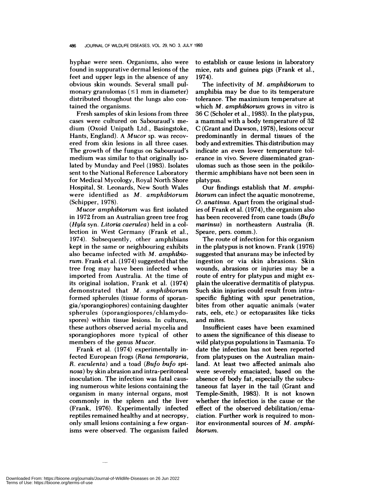hyphae were seen. Organisms, also were found in suppurative dermal lesions of the feet and upper legs in the absence of any obvious skin wounds. Several small pulmonary granulomas  $(\leq 1$  mm in diameter) distributed thoughout the lungs also contained the organisms.

Fresh samples of skin lesions from three cases were cultured on Sabouraud's medium (Oxoid Unipath Ltd., Basingstoke, Hants, England). A *Mucor* sp. was recov ered from skin lesions in all three cases. The growth of the fungus on Sabouraud's medium was similar to that originally isolated by Munday and Peel (1983). Isolates sent to the National Reference Laboratory for Medical Mycology, Royal North Shore Hospital, St. Leonards, New South Wales were identified as *M. amphibiorum* (Schipper, 1978).

*Mucor amphibiorum* was first isolated in 1972 from an Australian green tree frog *(Hyla* syn. *Litoria caerulea)* held in a collection in West Germany (Frank et al., 1974). Subsequently, other amphibians kept in the same or neighbouring exhibits also became infected with *M. amphibio rum.* Frank et al. (1974) suggested that the tree frog may have been infected when imported from Australia. At the time of its original isolation, Frank et al. (1974) demonstrated that *M. amphibiorum* formed spherules (tissue forms of sporangia/sporangiophores) containing daughter spherules (sporangiospores/chlam ydospores) within tissue lesions. In cultures, these authors observed aerial mycelia and sporangiophores more typical of other members of the genus *Mucor.*

Frank et al. (1974) experimentally infected European frogs *(Rana temporaria, R. esculenta)* and a toad *(Bufo bufo spinosa)* by skin abrasion and intra-peritoneal inoculation. The infection was fatal causing numerous white lesions containing the organism in many internal organs, most commonly in the spleen and the liver (Frank, 1976). Experimentally infected reptiles remained healthy and at necropsy, only small lesions containing a few organisms were observed. The organism failed to establish or cause lesions in laboratory mice, rats and guinea pigs (Frank et al., 1974).

The infectivity of *M. amphibiorum* to amphibia may be due to its temperature tolerance. The maximium temperature at which *M. amphibiorum* grows in vitro is 36 C (Scholer et a!., 1983). In the platypus, a mammal with a body temperature of 32 C (Grant and Dawson, 1978), lesions occur predominantly in dermal tissues of the body and extremities. This distribution may indicate an even lower temperature tolerance in vivo. Severe disseminated granulomas such as those seen in the poikilothermic amphibians have not been seen in platypus.

Our findings establish that *M. amphibiorum* can infect the aquatic monotreme, *0. anatinus.* Apart from the original studies of Frank et al. (1974), the organism also has been recovered from cane toads *(Bufo rnarinus)* in northeastern Australia (R. Speare, pers. comm.).

The route of infection for this organism in the platypus is not known. Frank (1976) suggested that anurans may be infected by ingestion or via skin abrasions. Skin wounds, abrasions or injuries may be a route of entry for platypus and might explain the ulcerative dermatitis of platypus. Such skin injuries could result from intraspecific fighting with spur penetration, bites from other aquatic animals (water rats, eels, etc.) or ectoparasites like ticks and mites.

Insufficient cases have been examined to assess the significance of this disease to wild platypus populations in Tasmania. To date the infection has not been reported from platypuses on the Australian mainland. At least two affected animals also were severely emaciated, based on the absence of body fat, especially the subcutaneous fat layer in the tail (Grant and Temple-Smith, 1983). It is not known whether the infection is the cause or the effect of the observed debilitation/emaciation. Further work is required to monitor environmental sources of *M. amphibiorum.*